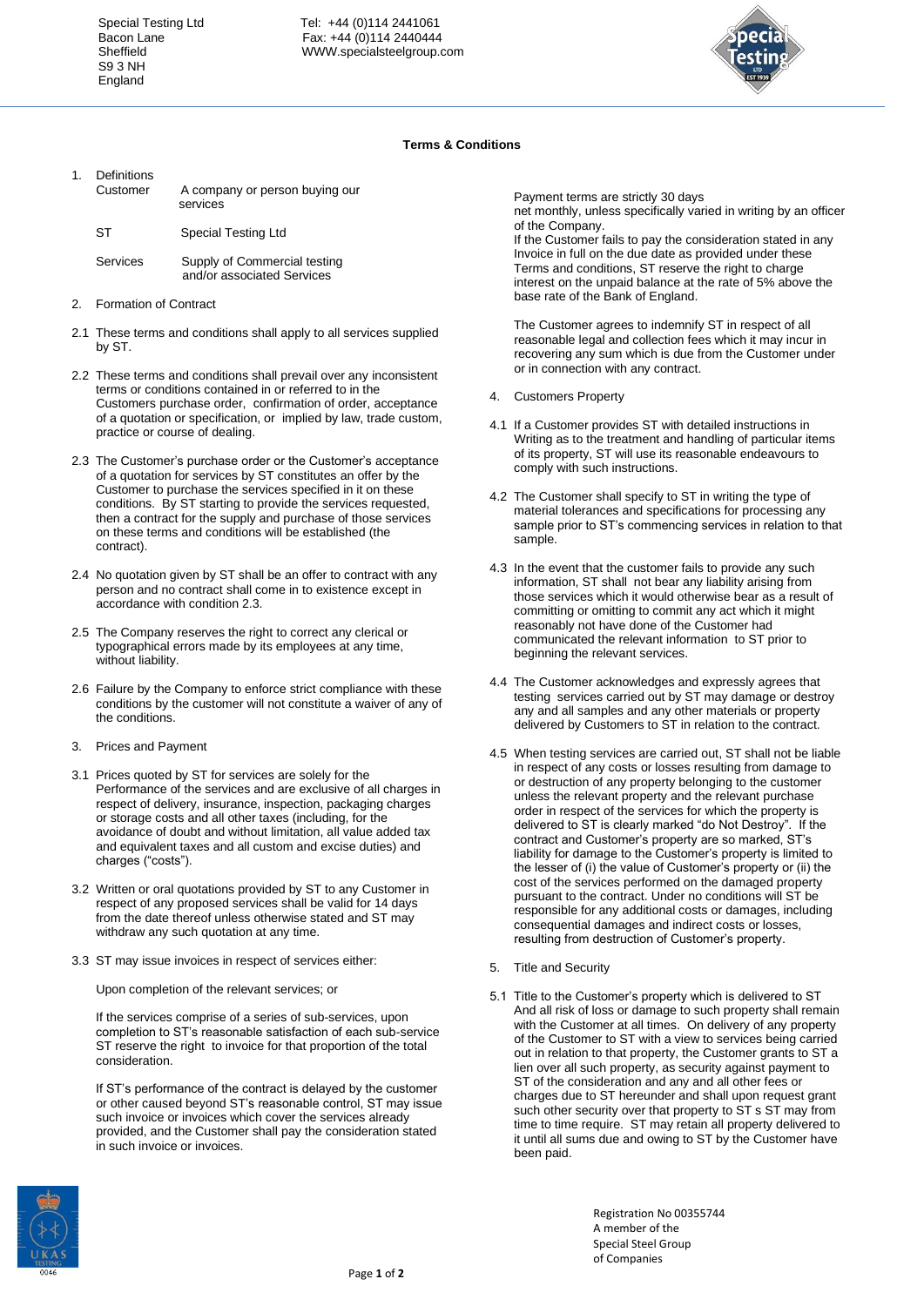Special Testing Ltd Tel: +44 (0)114 2441061 Bacon Lane Fax: +44 (0)114 2440444<br>Sheffield Fax: +44 (0)114 2440444 WWW.specialsteelgroup.com



## **Terms & Conditions**

| 1. | Definitions<br>Customer | A company or person buying our<br>services                 |
|----|-------------------------|------------------------------------------------------------|
|    | ST                      | Special Testing Ltd                                        |
|    | Services                | Supply of Commercial testing<br>and/or associated Services |

- 2. Formation of Contract
- 2.1 These terms and conditions shall apply to all services supplied by ST.
- 2.2 These terms and conditions shall prevail over any inconsistent terms or conditions contained in or referred to in the Customers purchase order, confirmation of order, acceptance of a quotation or specification, or implied by law, trade custom, practice or course of dealing.
- 2.3 The Customer's purchase order or the Customer's acceptance of a quotation for services by ST constitutes an offer by the Customer to purchase the services specified in it on these conditions. By ST starting to provide the services requested, then a contract for the supply and purchase of those services on these terms and conditions will be established (the contract).
- 2.4 No quotation given by ST shall be an offer to contract with any person and no contract shall come in to existence except in accordance with condition 2.3.
- 2.5 The Company reserves the right to correct any clerical or typographical errors made by its employees at any time, without liability.
- 2.6 Failure by the Company to enforce strict compliance with these conditions by the customer will not constitute a waiver of any of the conditions.
- 3. Prices and Payment
- 3.1 Prices quoted by ST for services are solely for the Performance of the services and are exclusive of all charges in respect of delivery, insurance, inspection, packaging charges or storage costs and all other taxes (including, for the avoidance of doubt and without limitation, all value added tax and equivalent taxes and all custom and excise duties) and charges ("costs").
- 3.2 Written or oral quotations provided by ST to any Customer in respect of any proposed services shall be valid for 14 days from the date thereof unless otherwise stated and ST may withdraw any such quotation at any time.
- 3.3 ST may issue invoices in respect of services either:

Upon completion of the relevant services; or

 If the services comprise of a series of sub-services, upon completion to ST's reasonable satisfaction of each sub-service ST reserve the right to invoice for that proportion of the total consideration.

 If ST's performance of the contract is delayed by the customer or other caused beyond ST's reasonable control, ST may issue such invoice or invoices which cover the services already provided, and the Customer shall pay the consideration stated in such invoice or invoices.

Payment terms are strictly 30 days

 net monthly, unless specifically varied in writing by an officer of the Company.

If the Customer fails to pay the consideration stated in any Invoice in full on the due date as provided under these Terms and conditions, ST reserve the right to charge interest on the unpaid balance at the rate of 5% above the base rate of the Bank of England.

 The Customer agrees to indemnify ST in respect of all reasonable legal and collection fees which it may incur in recovering any sum which is due from the Customer under or in connection with any contract.

- 4. Customers Property
- 4.1 If a Customer provides ST with detailed instructions in Writing as to the treatment and handling of particular items of its property, ST will use its reasonable endeavours to comply with such instructions.
- 4.2 The Customer shall specify to ST in writing the type of material tolerances and specifications for processing any sample prior to ST's commencing services in relation to that sample.
- 4.3 In the event that the customer fails to provide any such information, ST shall not bear any liability arising from those services which it would otherwise bear as a result of committing or omitting to commit any act which it might reasonably not have done of the Customer had communicated the relevant information to ST prior to beginning the relevant services.
- 4.4 The Customer acknowledges and expressly agrees that testing services carried out by ST may damage or destroy any and all samples and any other materials or property delivered by Customers to ST in relation to the contract.
- 4.5 When testing services are carried out, ST shall not be liable in respect of any costs or losses resulting from damage to or destruction of any property belonging to the customer unless the relevant property and the relevant purchase order in respect of the services for which the property is delivered to ST is clearly marked "do Not Destroy". If the contract and Customer's property are so marked, ST's liability for damage to the Customer's property is limited to the lesser of (i) the value of Customer's property or (ii) the cost of the services performed on the damaged property pursuant to the contract. Under no conditions will ST be responsible for any additional costs or damages, including consequential damages and indirect costs or losses, resulting from destruction of Customer's property.
- 5. Title and Security
- 5.1 Title to the Customer's property which is delivered to ST And all risk of loss or damage to such property shall remain with the Customer at all times. On delivery of any property of the Customer to ST with a view to services being carried out in relation to that property, the Customer grants to ST a lien over all such property, as security against payment to ST of the consideration and any and all other fees or charges due to ST hereunder and shall upon request grant such other security over that property to ST s ST may from time to time require. ST may retain all property delivered to it until all sums due and owing to ST by the Customer have been paid.

Registration No 00355744 A member of the Special Steel Group of Companies